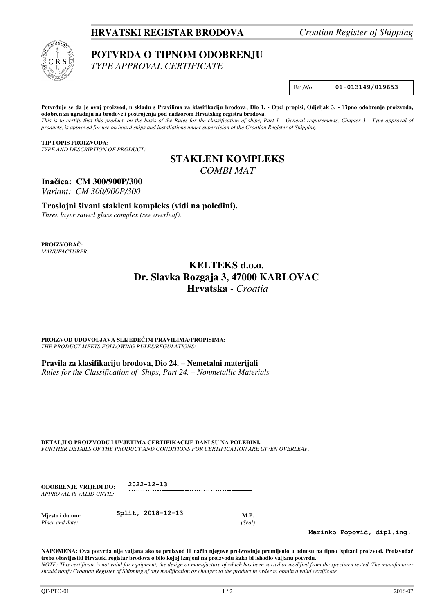## **HRVATSKI REGISTAR BRODOVA** *Croatian Register of Shipping*



# **POTVRDA O TIPNOM ODOBRENJU**

*TYPE APPROVAL CERTIFICATE* 

**Br** */No* **01-013149/019653** 

Potvrđuje se da je ovaj proizvod, u skladu s Pravilima za klasifikaciju brodova, Dio 1. - Opći propisi, Odjeljak 3. - Tipno odobrenje proizvoda, **odobren za ugradnju na brodove i postrojenja pod nadzorom Hrvatskog registra brodova.** 

*This is to certify that this product, on the basis of the Rules for the classification of ships, Part 1 - General requirements, Chapter 3 - Type approval of products, is approved for use on board ships and installations under supervision of the Croatian Register of Shipping.* 

**TIP I OPIS PROIZVODA:** *TYPE AND DESCRIPTION OF PRODUCT:* 

# **STAKLENI KOMPLEKS**  *COMBI MAT*

**Inačica: CM 300/900P/300** 

*Variant: CM 300/900P/300* 

**Troslojni šivani stakleni kompleks (vidi na poleđini).**

*Three layer sawed glass complex (see overleaf).*

**PROIZVOĐAČ:** *MANUFACTURER:*

# **KELTEKS d.o.o. Dr. Slavka Rozgaja 3, 47000 KARLOVAC Hrvatska -** *Croatia*

**PROIZVOD UDOVOLJAVA SLIJEDEĆIM PRAVILIMA/PROPISIMA:** *THE PRODUCT MEETS FOLLOWING RULES/REGULATIONS:* 

**Pravila za klasifikaciju brodova, Dio 24. – Nemetalni materijali**  *Rules for the Classification of Ships, Part 24. – Nonmetallic Materials*

**DETALJI O PROIZVODU I UVJETIMA CERTIFIKACIJE DANI SU NA POLEĐINI.** *FURTHER DETAILS OF THE PRODUCT AND CONDITIONS FOR CERTIFICATION ARE GIVEN OVERLEAF.* 

| <b>ODOBRENJE VRLIEDI DO:</b> | $2022 - 12 - 13$  |     |
|------------------------------|-------------------|-----|
| APPROVAL IS VALID UNTIL:     |                   |     |
| Miesto i datum:              | Split, 2018-12-13 | M.P |

*Place and date:* (Seal) *Place and date:* (Seal)

**Marinko Popović, dipl.ing.** 

**NAPOMENA: Ova potvrda nije valjana ako se proizvod ili način njegove proizvodnje promijenio u odnosu na tipno ispitani proizvod. Proizvođač treba obavijestiti Hrvatski registar brodova o bilo kojoj izmjeni na proizvodu kako bi ishodio valjanu potvrdu.**  *NOTE: This certificate is not valid for equipment, the design or manufacture of which has been varied or modified from the specimen tested. The manufacturer should notify Croatian Register of Shipping of any modification or changes to the product in order to obtain a valid certificate.*